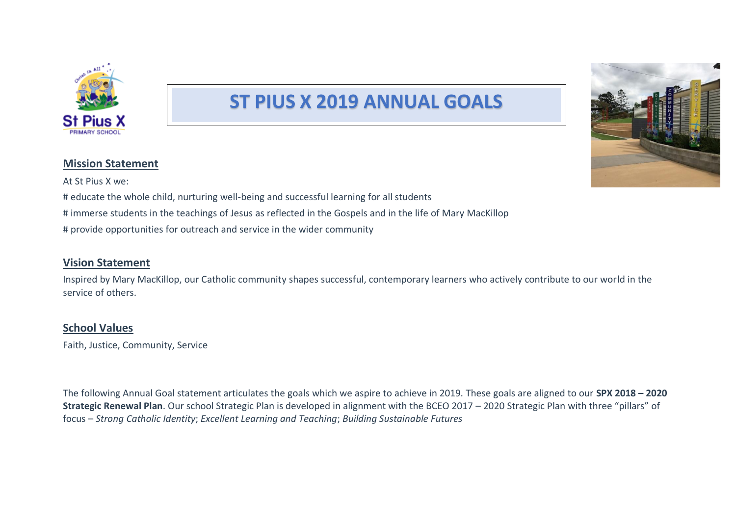

# **ST PIUS X 2019 ANNUAL GOALS**



#### **Mission Statement**

At St Pius X we: # educate the whole child, nurturing well-being and successful learning for all students # immerse students in the teachings of Jesus as reflected in the Gospels and in the life of Mary MacKillop # provide opportunities for outreach and service in the wider community

## **Vision Statement**

Inspired by Mary MacKillop, our Catholic community shapes successful, contemporary learners who actively contribute to our world in the service of others.

## **School Values**

Faith, Justice, Community, Service

The following Annual Goal statement articulates the goals which we aspire to achieve in 2019. These goals are aligned to our **SPX 2018 – 2020 Strategic Renewal Plan**. Our school Strategic Plan is developed in alignment with the BCEO 2017 – 2020 Strategic Plan with three "pillars" of focus – *Strong Catholic Identity*; *Excellent Learning and Teaching*; *Building Sustainable Futures*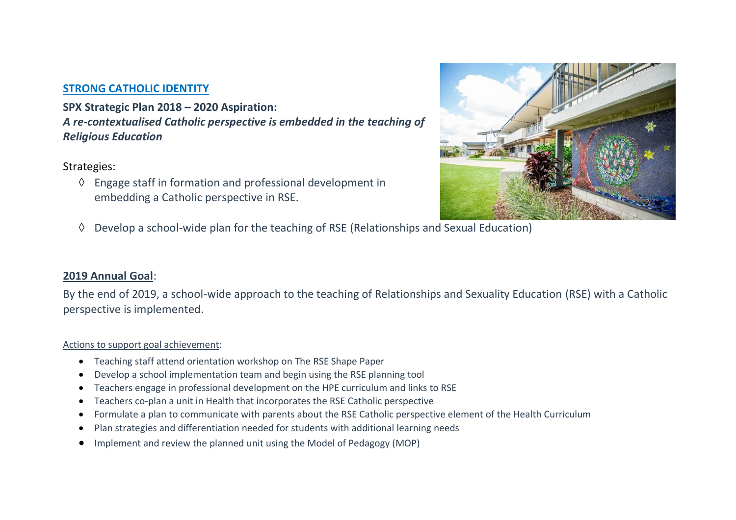## **STRONG CATHOLIC IDENTITY**

**SPX Strategic Plan 2018 – 2020 Aspiration:**  *A re-contextualised Catholic perspective is embedded in the teaching of Religious Education*

## Strategies:

 $\Diamond$  Engage staff in formation and professional development in embedding a Catholic perspective in RSE.



 $\Diamond$  Develop a school-wide plan for the teaching of RSE (Relationships and Sexual Education)

## **2019 Annual Goal**:

By the end of 2019, a school-wide approach to the teaching of Relationships and Sexuality Education (RSE) with a Catholic perspective is implemented.

#### Actions to support goal achievement:

- Teaching staff attend orientation workshop on The RSE Shape Paper
- Develop a school implementation team and begin using the RSE planning tool
- Teachers engage in professional development on the HPE curriculum and links to RSE
- Teachers co-plan a unit in Health that incorporates the RSE Catholic perspective
- Formulate a plan to communicate with parents about the RSE Catholic perspective element of the Health Curriculum
- Plan strategies and differentiation needed for students with additional learning needs
- Implement and review the planned unit using the Model of Pedagogy (MOP)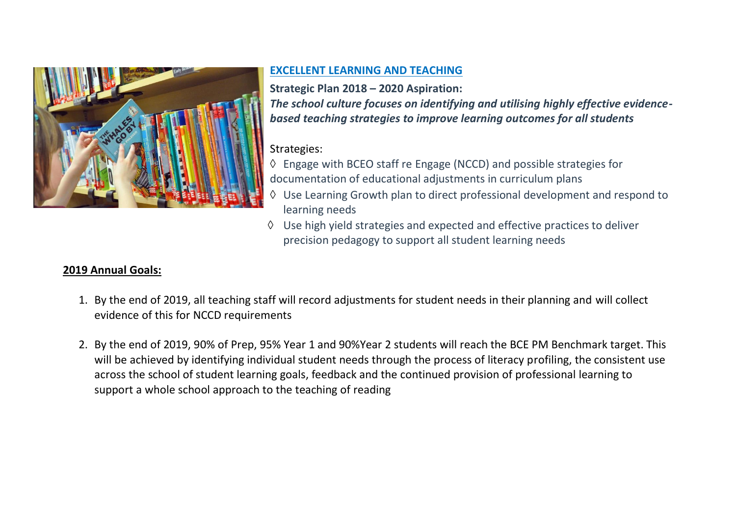

## **EXCELLENT LEARNING AND TEACHING**

**Strategic Plan 2018 – 2020 Aspiration:**  *The school culture focuses on identifying and utilising highly effective evidencebased teaching strategies to improve learning outcomes for all students*

## Strategies:

- Engage with BCEO staff re Engage (NCCD) and possible strategies for documentation of educational adjustments in curriculum plans
- Use Learning Growth plan to direct professional development and respond to learning needs
- $\Diamond$  Use high yield strategies and expected and effective practices to deliver precision pedagogy to support all student learning needs

## **2019 Annual Goals:**

- 1. By the end of 2019, all teaching staff will record adjustments for student needs in their planning and will collect evidence of this for NCCD requirements
- 2. By the end of 2019, 90% of Prep, 95% Year 1 and 90%Year 2 students will reach the BCE PM Benchmark target. This will be achieved by identifying individual student needs through the process of literacy profiling, the consistent use across the school of student learning goals, feedback and the continued provision of professional learning to support a whole school approach to the teaching of reading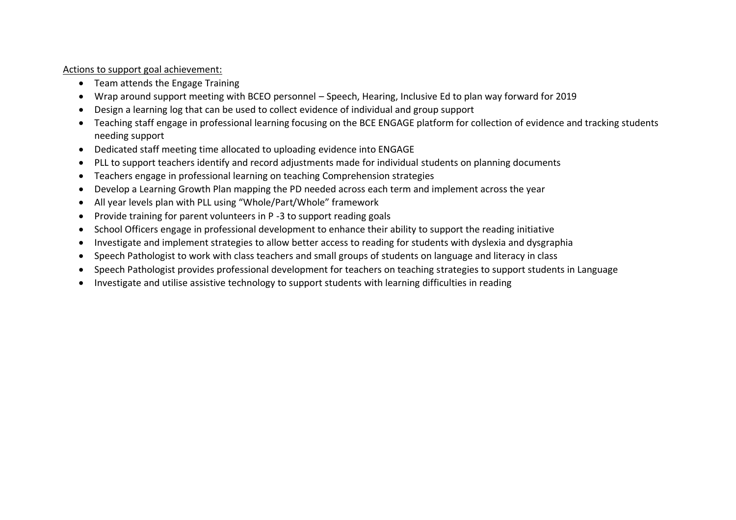Actions to support goal achievement:

- Team attends the Engage Training
- Wrap around support meeting with BCEO personnel Speech, Hearing, Inclusive Ed to plan way forward for 2019
- Design a learning log that can be used to collect evidence of individual and group support
- Teaching staff engage in professional learning focusing on the BCE ENGAGE platform for collection of evidence and tracking students needing support
- Dedicated staff meeting time allocated to uploading evidence into ENGAGE
- PLL to support teachers identify and record adjustments made for individual students on planning documents
- Teachers engage in professional learning on teaching Comprehension strategies
- Develop a Learning Growth Plan mapping the PD needed across each term and implement across the year
- All year levels plan with PLL using "Whole/Part/Whole" framework
- Provide training for parent volunteers in P -3 to support reading goals
- School Officers engage in professional development to enhance their ability to support the reading initiative
- Investigate and implement strategies to allow better access to reading for students with dyslexia and dysgraphia
- Speech Pathologist to work with class teachers and small groups of students on language and literacy in class
- Speech Pathologist provides professional development for teachers on teaching strategies to support students in Language
- Investigate and utilise assistive technology to support students with learning difficulties in reading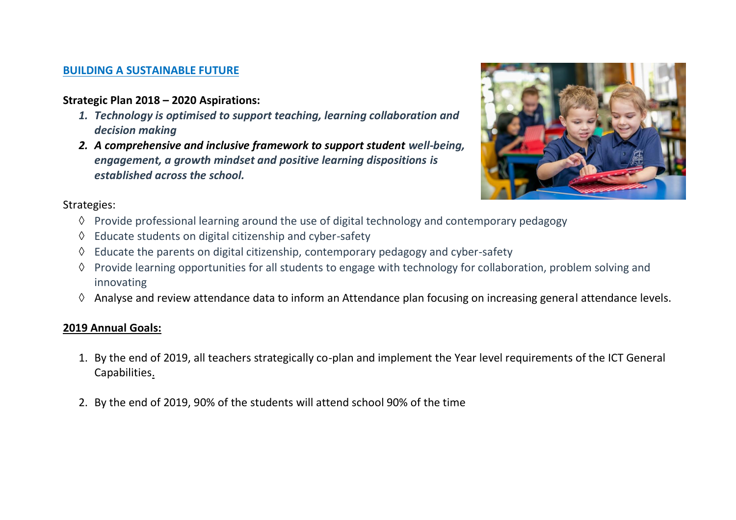## **BUILDING A SUSTAINABLE FUTURE**

## **Strategic Plan 2018 – 2020 Aspirations:**

- *1. Technology is optimised to support teaching, learning collaboration and decision making*
- *2. A comprehensive and inclusive framework to support student well-being, engagement, a growth mindset and positive learning dispositions is established across the school.*



## Strategies:

- $\Diamond$  Provide professional learning around the use of digital technology and contemporary pedagogy
- $\Diamond$  Educate students on digital citizenship and cyber-safety
- $\Diamond$  Educate the parents on digital citizenship, contemporary pedagogy and cyber-safety
- $\Diamond$  Provide learning opportunities for all students to engage with technology for collaboration, problem solving and innovating
- $\Diamond$  Analyse and review attendance data to inform an Attendance plan focusing on increasing general attendance levels.

## **2019 Annual Goals:**

- 1. By the end of 2019, all teachers strategically co-plan and implement the Year level requirements of the ICT General Capabilities.
- 2. By the end of 2019, 90% of the students will attend school 90% of the time